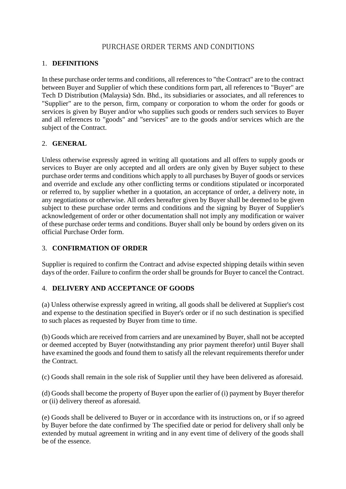# PURCHASE ORDER TERMS AND CONDITIONS

### 1. **DEFINITIONS**

In these purchase order terms and conditions, all references to "the Contract" are to the contract between Buyer and Supplier of which these conditions form part, all references to "Buyer" are Tech D Distribution (Malaysia) Sdn. Bhd., its subsidiaries or associates, and all references to "Supplier" are to the person, firm, company or corporation to whom the order for goods or services is given by Buyer and/or who supplies such goods or renders such services to Buyer and all references to "goods" and "services" are to the goods and/or services which are the subject of the Contract.

### 2. **GENERAL**

Unless otherwise expressly agreed in writing all quotations and all offers to supply goods or services to Buyer are only accepted and all orders are only given by Buyer subject to these purchase order terms and conditions which apply to all purchases by Buyer of goods or services and override and exclude any other conflicting terms or conditions stipulated or incorporated or referred to, by supplier whether in a quotation, an acceptance of order, a delivery note, in any negotiations or otherwise. All orders hereafter given by Buyer shall be deemed to be given subject to these purchase order terms and conditions and the signing by Buyer of Supplier's acknowledgement of order or other documentation shall not imply any modification or waiver of these purchase order terms and conditions. Buyer shall only be bound by orders given on its official Purchase Order form.

### 3. **CONFIRMATION OF ORDER**

Supplier is required to confirm the Contract and advise expected shipping details within seven days of the order. Failure to confirm the order shall be grounds for Buyer to cancel the Contract.

### 4. **DELIVERY AND ACCEPTANCE OF GOODS**

(a) Unless otherwise expressly agreed in writing, all goods shall be delivered at Supplier's cost and expense to the destination specified in Buyer's order or if no such destination is specified to such places as requested by Buyer from time to time.

(b) Goods which are received from carriers and are unexamined by Buyer, shall not be accepted or deemed accepted by Buyer (notwithstanding any prior payment therefor) until Buyer shall have examined the goods and found them to satisfy all the relevant requirements therefor under the Contract.

(c) Goods shall remain in the sole risk of Supplier until they have been delivered as aforesaid.

(d) Goods shall become the property of Buyer upon the earlier of (i) payment by Buyer therefor or (ii) delivery thereof as aforesaid.

(e) Goods shall be delivered to Buyer or in accordance with its instructions on, or if so agreed by Buyer before the date confirmed by The specified date or period for delivery shall only be extended by mutual agreement in writing and in any event time of delivery of the goods shall be of the essence.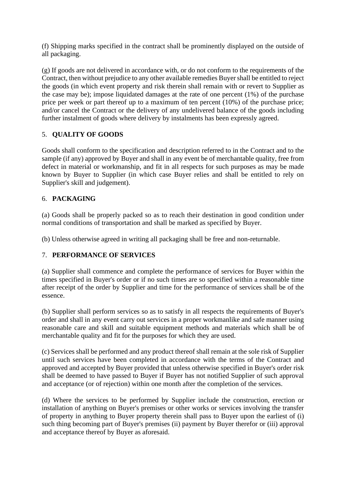(f) Shipping marks specified in the contract shall be prominently displayed on the outside of all packaging.

(g) If goods are not delivered in accordance with, or do not conform to the requirements of the Contract, then without prejudice to any other available remedies Buyer shall be entitled to reject the goods (in which event property and risk therein shall remain with or revert to Supplier as the case may be); impose liquidated damages at the rate of one percent (1%) of the purchase price per week or part thereof up to a maximum of ten percent (10%) of the purchase price; and/or cancel the Contract or the delivery of any undelivered balance of the goods including further instalment of goods where delivery by instalments has been expressly agreed.

# 5. **QUALITY OF GOODS**

Goods shall conform to the specification and description referred to in the Contract and to the sample (if any) approved by Buyer and shall in any event be of merchantable quality, free from defect in material or workmanship, and fit in all respects for such purposes as may be made known by Buyer to Supplier (in which case Buyer relies and shall be entitled to rely on Supplier's skill and judgement).

# 6. **PACKAGING**

(a) Goods shall be properly packed so as to reach their destination in good condition under normal conditions of transportation and shall be marked as specified by Buyer.

(b) Unless otherwise agreed in writing all packaging shall be free and non-returnable.

### 7. **PERFORMANCE OF SERVICES**

(a) Supplier shall commence and complete the performance of services for Buyer within the times specified in Buyer's order or if no such times are so specified within a reasonable time after receipt of the order by Supplier and time for the performance of services shall be of the essence.

(b) Supplier shall perform services so as to satisfy in all respects the requirements of Buyer's order and shall in any event carry out services in a proper workmanlike and safe manner using reasonable care and skill and suitable equipment methods and materials which shall be of merchantable quality and fit for the purposes for which they are used.

(c) Services shall be performed and any product thereof shall remain at the sole risk of Supplier until such services have been completed in accordance with the terms of the Contract and approved and accepted by Buyer provided that unless otherwise specified in Buyer's order risk shall be deemed to have passed to Buyer if Buyer has not notified Supplier of such approval and acceptance (or of rejection) within one month after the completion of the services.

(d) Where the services to be performed by Supplier include the construction, erection or installation of anything on Buyer's premises or other works or services involving the transfer of property in anything to Buyer property therein shall pass to Buyer upon the earliest of (i) such thing becoming part of Buyer's premises (ii) payment by Buyer therefor or (iii) approval and acceptance thereof by Buyer as aforesaid.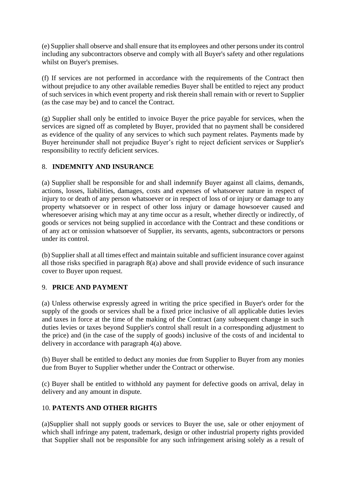(e) Supplier shall observe and shall ensure that its employees and other persons under its control including any subcontractors observe and comply with all Buyer's safety and other regulations whilst on Buyer's premises.

(f) If services are not performed in accordance with the requirements of the Contract then without prejudice to any other available remedies Buyer shall be entitled to reject any product of such services in which event property and risk therein shall remain with or revert to Supplier (as the case may be) and to cancel the Contract.

(g) Supplier shall only be entitled to invoice Buyer the price payable for services, when the services are signed off as completed by Buyer, provided that no payment shall be considered as evidence of the quality of any services to which such payment relates. Payments made by Buyer hereinunder shall not prejudice Buyer's right to reject deficient services or Supplier's responsibility to rectify deficient services.

### 8. **INDEMNITY AND INSURANCE**

(a) Supplier shall be responsible for and shall indemnify Buyer against all claims, demands, actions, losses, liabilities, damages, costs and expenses of whatsoever nature in respect of injury to or death of any person whatsoever or in respect of loss of or injury or damage to any property whatsoever or in respect of other loss injury or damage howsoever caused and wheresoever arising which may at any time occur as a result, whether directly or indirectly, of goods or services not being supplied in accordance with the Contract and these conditions or of any act or omission whatsoever of Supplier, its servants, agents, subcontractors or persons under its control.

(b) Supplier shall at all times effect and maintain suitable and sufficient insurance cover against all those risks specified in paragraph 8(a) above and shall provide evidence of such insurance cover to Buyer upon request.

# 9. **PRICE AND PAYMENT**

(a) Unless otherwise expressly agreed in writing the price specified in Buyer's order for the supply of the goods or services shall be a fixed price inclusive of all applicable duties levies and taxes in force at the time of the making of the Contract (any subsequent change in such duties levies or taxes beyond Supplier's control shall result in a corresponding adjustment to the price) and (in the case of the supply of goods) inclusive of the costs of and incidental to delivery in accordance with paragraph 4(a) above.

(b) Buyer shall be entitled to deduct any monies due from Supplier to Buyer from any monies due from Buyer to Supplier whether under the Contract or otherwise.

(c) Buyer shall be entitled to withhold any payment for defective goods on arrival, delay in delivery and any amount in dispute.

### 10. **PATENTS AND OTHER RIGHTS**

(a)Supplier shall not supply goods or services to Buyer the use, sale or other enjoyment of which shall infringe any patent, trademark, design or other industrial property rights provided that Supplier shall not be responsible for any such infringement arising solely as a result of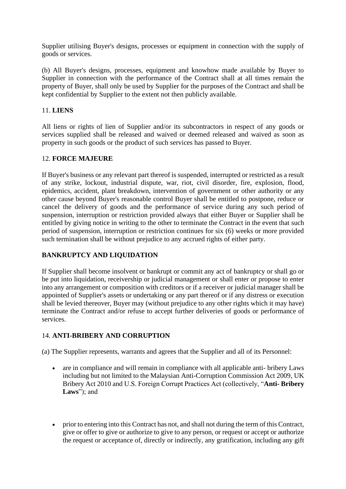Supplier utilising Buyer's designs, processes or equipment in connection with the supply of goods or services.

(b) All Buyer's designs, processes, equipment and knowhow made available by Buyer to Supplier in connection with the performance of the Contract shall at all times remain the property of Buyer, shall only be used by Supplier for the purposes of the Contract and shall be kept confidential by Supplier to the extent not then publicly available.

### 11. **LIENS**

All liens or rights of lien of Supplier and/or its subcontractors in respect of any goods or services supplied shall be released and waived or deemed released and waived as soon as property in such goods or the product of such services has passed to Buyer.

### 12. **FORCE MAJEURE**

If Buyer's business or any relevant part thereof is suspended, interrupted or restricted as a result of any strike, lockout, industrial dispute, war, riot, civil disorder, fire, explosion, flood, epidemics, accident, plant breakdown, intervention of government or other authority or any other cause beyond Buyer's reasonable control Buyer shall be entitled to postpone, reduce or cancel the delivery of goods and the performance of service during any such period of suspension, interruption or restriction provided always that either Buyer or Supplier shall be entitled by giving notice in writing to the other to terminate the Contract in the event that such period of suspension, interruption or restriction continues for six (6) weeks or more provided such termination shall be without prejudice to any accrued rights of either party.

### **BANKRUPTCY AND LIQUIDATION**

If Supplier shall become insolvent or bankrupt or commit any act of bankruptcy or shall go or be put into liquidation, receivership or judicial management or shall enter or propose to enter into any arrangement or composition with creditors or if a receiver or judicial manager shall be appointed of Supplier's assets or undertaking or any part thereof or if any distress or execution shall be levied thereover, Buyer may (without prejudice to any other rights which it may have) terminate the Contract and/or refuse to accept further deliveries of goods or performance of services.

# 14. **ANTI-BRIBERY AND CORRUPTION**

(a) The Supplier represents, warrants and agrees that the Supplier and all of its Personnel:

- are in compliance and will remain in compliance with all applicable anti- bribery Laws including but not limited to the Malaysian Anti-Corruption Commission Act 2009, UK Bribery Act 2010 and U.S. Foreign Corrupt Practices Act (collectively, "**Anti- Bribery Laws**"); and
- prior to entering into this Contract has not, and shall not during the term of this Contract, give or offer to give or authorize to give to any person, or request or accept or authorize the request or acceptance of, directly or indirectly, any gratification, including any gift